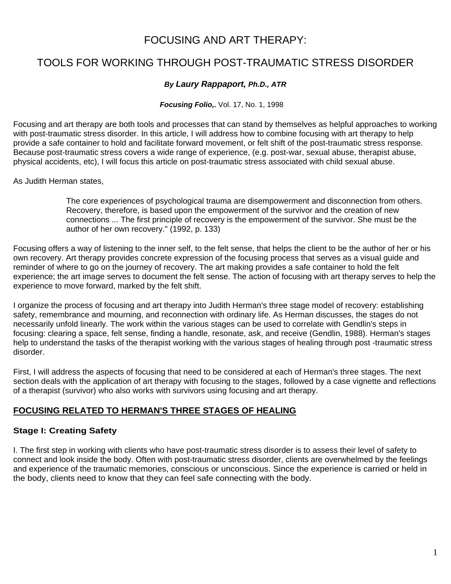## FOCUSING AND ART THERAPY:

# TOOLS FOR WORKING THROUGH POST-TRAUMATIC STRESS DISORDER

### *By Laury Rappaport, Ph.D., ATR*

#### *Focusing Folio,.* Vol. 17, No. 1, 1998

Focusing and art therapy are both tools and processes that can stand by themselves as helpful approaches to working with post-traumatic stress disorder. In this article, I will address how to combine focusing with art therapy to help provide a safe container to hold and facilitate forward movement, or felt shift of the post-traumatic stress response. Because post-traumatic stress covers a wide range of experience, (e.g. post-war, sexual abuse, therapist abuse, physical accidents, etc), I will focus this article on post-traumatic stress associated with child sexual abuse.

As Judith Herman states,

The core experiences of psychological trauma are disempowerment and disconnection from others. Recovery, therefore, is based upon the empowerment of the survivor and the creation of new connections ... The first principle of recovery is the empowerment of the survivor. She must be the author of her own recovery." (1992, p. 133)

Focusing offers a way of listening to the inner self, to the felt sense, that helps the client to be the author of her or his own recovery. Art therapy provides concrete expression of the focusing process that serves as a visual guide and reminder of where to go on the journey of recovery. The art making provides a safe container to hold the felt experience; the art image serves to document the felt sense. The action of focusing with art therapy serves to help the experience to move forward, marked by the felt shift.

I organize the process of focusing and art therapy into Judith Herman's three stage model of recovery: establishing safety, remembrance and mourning, and reconnection with ordinary life. As Herman discusses, the stages do not necessarily unfold linearly. The work within the various stages can be used to correlate with Gendlin's steps in focusing: clearing a space, felt sense, finding a handle, resonate, ask, and receive (Gendlin, 1988). Herman's stages help to understand the tasks of the therapist working with the various stages of healing through post -traumatic stress disorder.

First, I will address the aspects of focusing that need to be considered at each of Herman's three stages. The next section deals with the application of art therapy with focusing to the stages, followed by a case vignette and reflections of a therapist (survivor) who also works with survivors using focusing and art therapy.

## **FOCUSING RELATED TO HERMAN'S THREE STAGES OF HEALING**

### **Stage I: Creating Safety**

I. The first step in working with clients who have post-traumatic stress disorder is to assess their level of safety to connect and look inside the body. Often with post-traumatic stress disorder, clients are overwhelmed by the feelings and experience of the traumatic memories, conscious or unconscious. Since the experience is carried or held in the body, clients need to know that they can feel safe connecting with the body.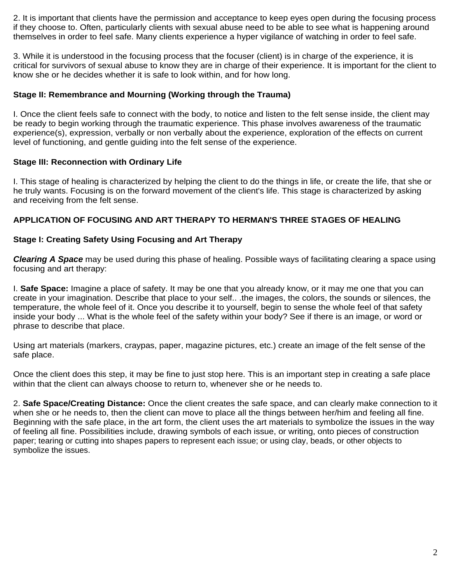2. It is important that clients have the permission and acceptance to keep eyes open during the focusing process if they choose to. Often, particularly clients with sexual abuse need to be able to see what is happening around themselves in order to feel safe. Many clients experience a hyper vigilance of watching in order to feel safe.

3. While it is understood in the focusing process that the focuser (client) is in charge of the experience, it is critical for survivors of sexual abuse to know they are in charge of their experience. It is important for the client to know she or he decides whether it is safe to look within, and for how long.

#### **Stage II: Remembrance and Mourning (Working through the Trauma)**

I. Once the client feels safe to connect with the body, to notice and listen to the felt sense inside, the client may be ready to begin working through the traumatic experience. This phase involves awareness of the traumatic experience(s), expression, verbally or non verbally about the experience, exploration of the effects on current level of functioning, and gentle guiding into the felt sense of the experience.

#### **Stage III: Reconnection with Ordinary Life**

I. This stage of healing is characterized by helping the client to do the things in life, or create the life, that she or he truly wants. Focusing is on the forward movement of the client's life. This stage is characterized by asking and receiving from the felt sense.

#### **APPLICATION OF FOCUSING AND ART THERAPY TO HERMAN'S THREE STAGES OF HEALING**

#### **Stage I: Creating Safety Using Focusing and Art Therapy**

*Clearing A Space* may be used during this phase of healing. Possible ways of facilitating clearing a space using focusing and art therapy:

I. **Safe Space:** Imagine a place of safety. It may be one that you already know, or it may me one that you can create in your imagination. Describe that place to your self.. .the images, the colors, the sounds or silences, the temperature, the whole feel of it. Once you describe it to yourself, begin to sense the whole feel of that safety inside your body ... What is the whole feel of the safety within your body? See if there is an image, or word or phrase to describe that place.

Using art materials (markers, craypas, paper, magazine pictures, etc.) create an image of the felt sense of the safe place.

Once the client does this step, it may be fine to just stop here. This is an important step in creating a safe place within that the client can always choose to return to, whenever she or he needs to.

2. **Safe Space/Creating Distance:** Once the client creates the safe space, and can clearly make connection to it when she or he needs to, then the client can move to place all the things between her/him and feeling all fine. Beginning with the safe place, in the art form, the client uses the art materials to symbolize the issues in the way of feeling all fine. Possibilities include, drawing symbols of each issue, or writing, onto pieces of construction paper; tearing or cutting into shapes papers to represent each issue; or using clay, beads, or other objects to symbolize the issues.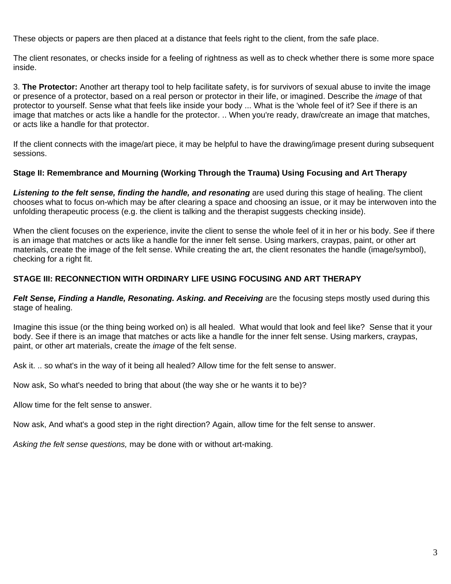These objects or papers are then placed at a distance that feels right to the client, from the safe place.

The client resonates, or checks inside for a feeling of rightness as well as to check whether there is some more space inside.

3. **The Protector:** Another art therapy tool to help facilitate safety, is for survivors of sexual abuse to invite the image or presence of a protector, based on a real person or protector in their life, or imagined. Describe the *image* of that protector to yourself. Sense what that feels like inside your body ... What is the 'whole feel of it? See if there is an image that matches or acts like a handle for the protector. .. When you're ready, draw/create an image that matches, or acts like a handle for that protector.

If the client connects with the image/art piece, it may be helpful to have the drawing/image present during subsequent sessions.

#### **Stage II: Remembrance and Mourning (Working Through the Trauma) Using Focusing and Art Therapy**

*Listening to the felt sense, finding the handle, and resonating* are used during this stage of healing. The client chooses what to focus on-which may be after clearing a space and choosing an issue, or it may be interwoven into the unfolding therapeutic process (e.g. the client is talking and the therapist suggests checking inside).

When the client focuses on the experience, invite the client to sense the whole feel of it in her or his body. See if there is an image that matches or acts like a handle for the inner felt sense. Using markers, craypas, paint, or other art materials, create the image of the felt sense. While creating the art, the client resonates the handle (image/symbol), checking for a right fit.

#### **STAGE III: RECONNECTION WITH ORDINARY LIFE USING FOCUSING AND ART THERAPY**

*Felt Sense, Finding a Handle, Resonating. Asking. and Receiving are the focusing steps mostly used during this* stage of healing.

Imagine this issue (or the thing being worked on) is all healed. What would that look and feel like? Sense that it your body. See if there is an image that matches or acts like a handle for the inner felt sense. Using markers, craypas, paint, or other art materials, create the *image* of the felt sense.

Ask it. .. so what's in the way of it being all healed? Allow time for the felt sense to answer.

Now ask, So what's needed to bring that about (the way she or he wants it to be)?

Allow time for the felt sense to answer.

Now ask, And what's a good step in the right direction? Again, allow time for the felt sense to answer.

*Asking the felt sense questions,* may be done with or without art-making.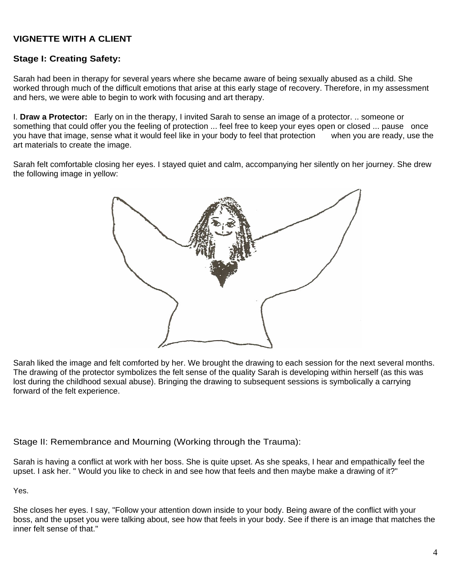## **VIGNETTE WITH A CLIENT**

## **Stage I: Creating Safety:**

Sarah had been in therapy for several years where she became aware of being sexually abused as a child. She worked through much of the difficult emotions that arise at this early stage of recovery. Therefore, in my assessment and hers, we were able to begin to work with focusing and art therapy.

I. **Draw a Protector:** Early on in the therapy, I invited Sarah to sense an image of a protector. .. someone or something that could offer you the feeling of protection ... feel free to keep your eyes open or closed ... pause once you have that image, sense what it would feel like in your body to feel that protection when you are ready, use the art materials to create the image.

Sarah felt comfortable closing her eyes. I stayed quiet and calm, accompanying her silently on her journey. She drew the following image in yellow:



Sarah liked the image and felt comforted by her. We brought the drawing to each session for the next several months. The drawing of the protector symbolizes the felt sense of the quality Sarah is developing within herself (as this was lost during the childhood sexual abuse). Bringing the drawing to subsequent sessions is symbolically a carrying forward of the felt experience.

Stage II: Remembrance and Mourning (Working through the Trauma):

Sarah is having a conflict at work with her boss. She is quite upset. As she speaks, I hear and empathically feel the upset. I ask her. " Would you like to check in and see how that feels and then maybe make a drawing of it?"

Yes.

She closes her eyes. I say, "Follow your attention down inside to your body. Being aware of the conflict with your boss, and the upset you were talking about, see how that feels in your body. See if there is an image that matches the inner felt sense of that."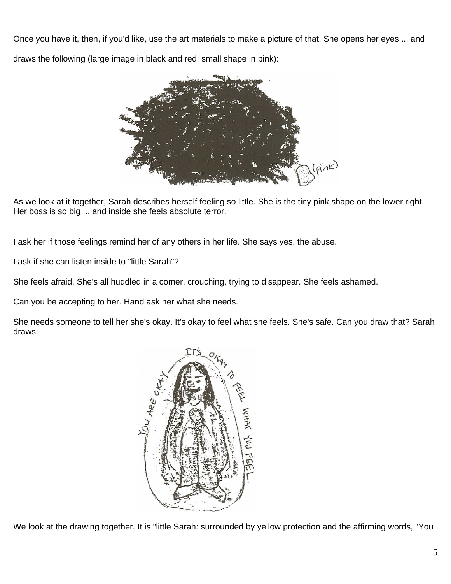Once you have it, then, if you'd like, use the art materials to make a picture of that. She opens her eyes ... and draws the following (large image in black and red; small shape in pink):



As we look at it together, Sarah describes herself feeling so little. She is the tiny pink shape on the lower right. Her boss is so big ... and inside she feels absolute terror.

I ask her if those feelings remind her of any others in her life. She says yes, the abuse.

I ask if she can listen inside to "little Sarah"?

She feels afraid. She's all huddled in a comer, crouching, trying to disappear. She feels ashamed.

Can you be accepting to her. Hand ask her what she needs.

She needs someone to tell her she's okay. It's okay to feel what she feels. She's safe. Can you draw that? Sarah draws:



We look at the drawing together. It is "little Sarah: surrounded by yellow protection and the affirming words, "You